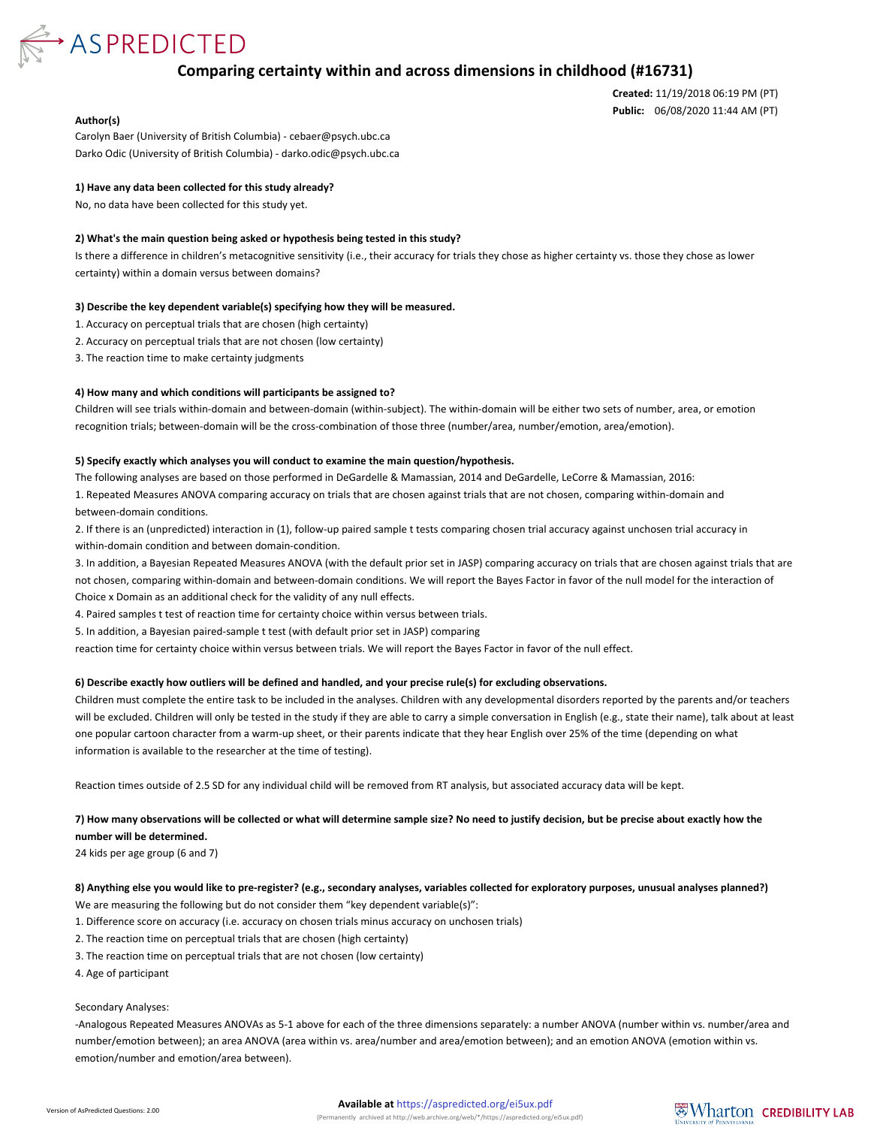

# **Comparing certainty within and across dimensions in childhood (#16731)**

**Created:** 11/19/2018 06:19 PM (PT) **Public:** 06/08/2020 11:44 AM (PT)

#### **Author(s)**

Carolyn Baer (University of British Columbia) - cebaer@psych.ubc.ca Darko Odic (University of British Columbia) - darko.odic@psych.ubc.ca

### **1) Have any data been collected for this study already?**

No, no data have been collected for this study yet.

#### **2) What's the main question being asked or hypothesis being tested in this study?**

Is there a difference in children's metacognitive sensitivity (i.e., their accuracy for trials they chose as higher certainty vs. those they chose as lower certainty) within a domain versus between domains?

#### **3) Describe the key dependent variable(s) specifying how they will be measured.**

1. Accuracy on perceptual trials that are chosen (high certainty)

- 2. Accuracy on perceptual trials that are not chosen (low certainty)
- 3. The reaction time to make certainty judgments

### **4) How many and which conditions will participants be assigned to?**

Children will see trials within-domain and between-domain (within-subject). The within-domain will be either two sets of number, area, or emotion recognition trials; between-domain will be the cross-combination of those three (number/area, number/emotion, area/emotion).

#### **5) Specify exactly which analyses you will conduct to examine the main question/hypothesis.**

The following analyses are based on those performed in DeGardelle & Mamassian, 2014 and DeGardelle, LeCorre & Mamassian, 2016:

1. Repeated Measures ANOVA comparing accuracy on trials that are chosen against trials that are not chosen, comparing within-domain and between-domain conditions.

2. If there is an (unpredicted) interaction in (1), follow-up paired sample t tests comparing chosen trial accuracy against unchosen trial accuracy in within-domain condition and between domain-condition.

3. In addition, a Bayesian Repeated Measures ANOVA (with the default prior set in JASP) comparing accuracy on trials that are chosen against trials that are not chosen, comparing within-domain and between-domain conditions. We will report the Bayes Factor in favor of the null model for the interaction of Choice x Domain as an additional check for the validity of any null effects.

4. Paired samples t test of reaction time for certainty choice within versus between trials.

5. In addition, a Bayesian paired-sample t test (with default prior set in JASP) comparing

reaction time for certainty choice within versus between trials. We will report the Bayes Factor in favor of the null effect.

#### **6) Describe exactly how outliers will be defined and handled, and your precise rule(s) for excluding observations.**

Children must complete the entire task to be included in the analyses. Children with any developmental disorders reported by the parents and/or teachers will be excluded. Children will only be tested in the study if they are able to carry a simple conversation in English (e.g., state their name), talk about at least one popular cartoon character from a warm-up sheet, or their parents indicate that they hear English over 25% of the time (depending on what information is available to the researcher at the time of testing).

Reaction times outside of 2.5 SD for any individual child will be removed from RT analysis, but associated accuracy data will be kept.

# **7) How many observations will be collected or what will determine sample size? No need to justify decision, but be precise about exactly how the number will be determined.**

24 kids per age group (6 and 7)

# **8) Anything else you would like to pre-register? (e.g., secondary analyses, variables collected for exploratory purposes, unusual analyses planned?)** We are measuring the following but do not consider them "key dependent variable(s)":

- 1. Difference score on accuracy (i.e. accuracy on chosen trials minus accuracy on unchosen trials)
- 2. The reaction time on perceptual trials that are chosen (high certainty)
- 3. The reaction time on perceptual trials that are not chosen (low certainty)
- 4. Age of participant

## Secondary Analyses:

-Analogous Repeated Measures ANOVAs as 5-1 above for each of the three dimensions separately: a number ANOVA (number within vs. number/area and number/emotion between); an area ANOVA (area within vs. area/number and area/emotion between); and an emotion ANOVA (emotion within vs. emotion/number and emotion/area between).